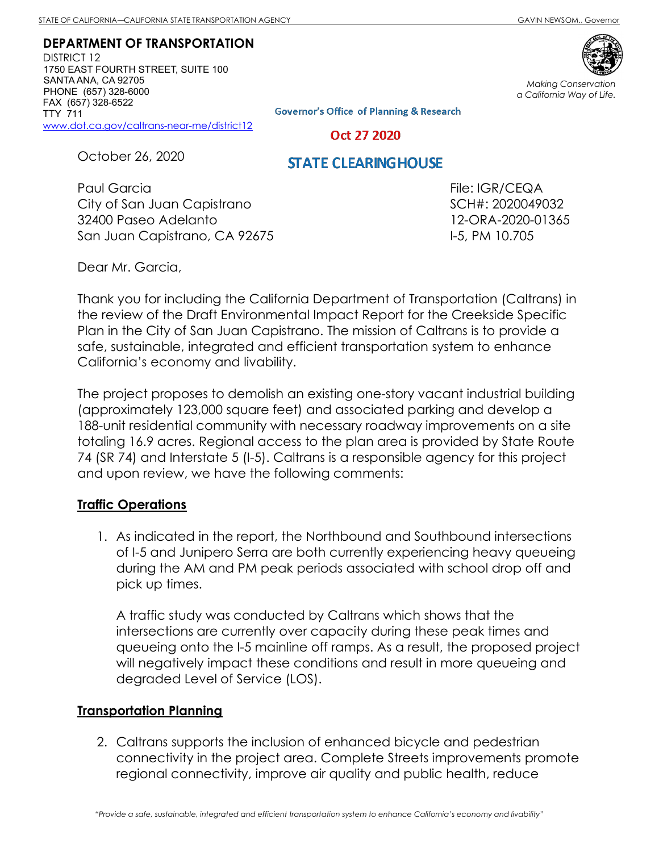DEPARTMENT OF TRANSPORTATION

DISTRICT 12 1750 EAST FOURTH STREET, SUITE 100 SANTA ANA, CA 92705 PHONE (657) 328-6000 FAX (657) 328-6522 TTY 711 www.dot.ca.gov/caltrans-near-me/district12

Making Conservation a California Way of Life.

**Governor's Office of Planning & Research** 

Oct 27 2020

October 26, 2020

## **STATE CLEARING HOUSE**

Paul Garcia City of San Juan Capistrano 32400 Paseo Adelanto San Juan Capistrano, CA 92675 File: IGR/CEQA SCH#: 2020049032 12-ORA-2020-01365 I-5, PM 10.705

Dear Mr. Garcia,

Thank you for including the California Department of Transportation (Caltrans) in the review of the Draft Environmental Impact Report for the Creekside Specific Plan in the City of San Juan Capistrano. The mission of Caltrans is to provide a safe, sustainable, integrated and efficient transportation system to enhance California's economy and livability.

The project proposes to demolish an existing one-story vacant industrial building (approximately 123,000 square feet) and associated parking and develop a 188-unit residential community with necessary roadway improvements on a site totaling 16.9 acres. Regional access to the plan area is provided by State Route 74 (SR 74) and Interstate 5 (I-5). Caltrans is a responsible agency for this project and upon review, we have the following comments:

## Traffic Operations

1. As indicated in the report, the Northbound and Southbound intersections of I-5 and Junipero Serra are both currently experiencing heavy queueing during the AM and PM peak periods associated with school drop off and pick up times.

A traffic study was conducted by Caltrans which shows that the intersections are currently over capacity during these peak times and queueing onto the I-5 mainline off ramps. As a result, the proposed project will negatively impact these conditions and result in more queueing and degraded Level of Service (LOS).

## Transportation Planning

2. Caltrans supports the inclusion of enhanced bicycle and pedestrian connectivity in the project area. Complete Streets improvements promote regional connectivity, improve air quality and public health, reduce